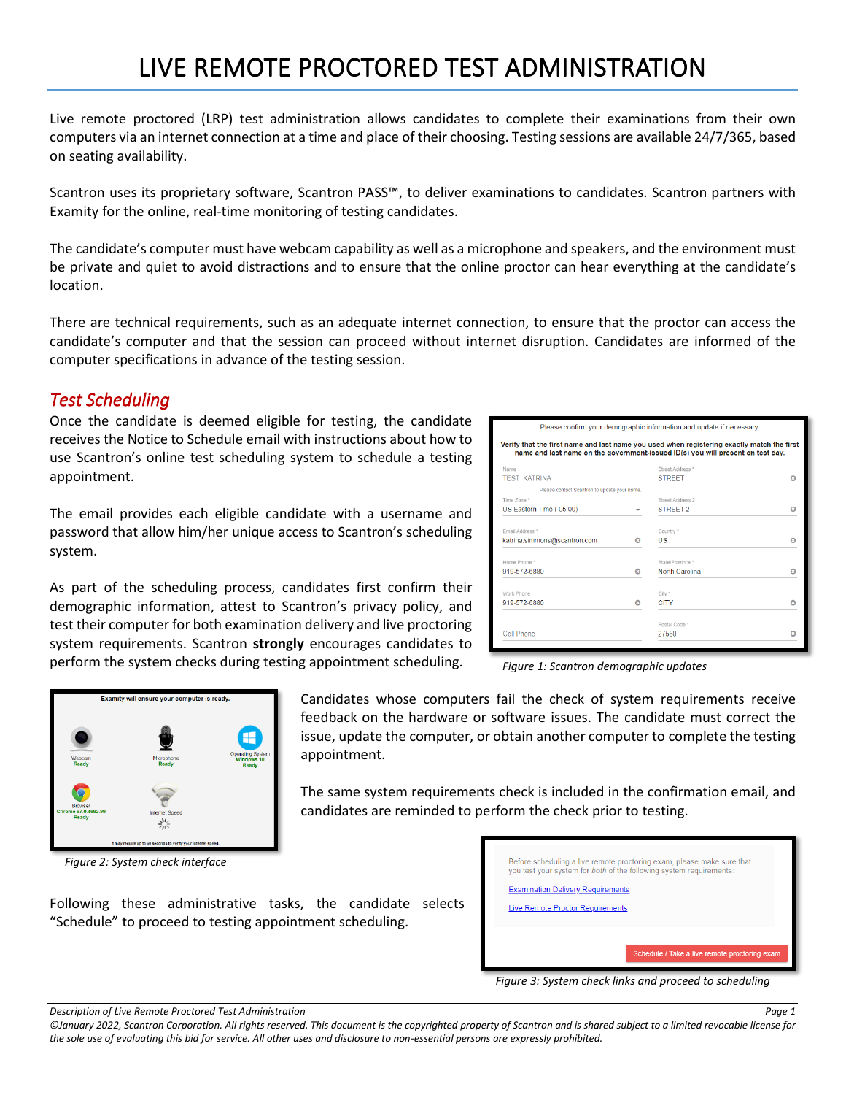# LIVE REMOTE PROCTORED TEST ADMINISTRATION

Live remote proctored (LRP) test administration allows candidates to complete their examinations from their own computers via an internet connection at a time and place of their choosing. Testing sessions are available 24/7/365, based on seating availability.

Scantron uses its proprietary software, Scantron PASS™, to deliver examinations to candidates. Scantron partners with Examity for the online, real-time monitoring of testing candidates.

The candidate's computer must have webcam capability as well as a microphone and speakers, and the environment must be private and quiet to avoid distractions and to ensure that the online proctor can hear everything at the candidate's location.

There are technical requirements, such as an adequate internet connection, to ensure that the proctor can access the candidate's computer and that the session can proceed without internet disruption. Candidates are informed of the computer specifications in advance of the testing session.

### *Test Scheduling*

Once the candidate is deemed eligible for testing, the candidate receives the Notice to Schedule email with instructions about how to use Scantron's online test scheduling system to schedule a testing appointment.

The email provides each eligible candidate with a username and password that allow him/her unique access to Scantron's scheduling system.

As part of the scheduling process, candidates first confirm their demographic information, attest to Scantron's privacy policy, and test their computer for both examination delivery and live proctoring system requirements. Scantron **strongly** encourages candidates to perform the system checks during testing appointment scheduling.

Following these administrative tasks, the candidate selects

"Schedule" to proceed to testing appointment scheduling.

|                                                                                                                                                                               |                          | Please confirm your demographic information and update if necessary. |   |  |  |  |  |
|-------------------------------------------------------------------------------------------------------------------------------------------------------------------------------|--------------------------|----------------------------------------------------------------------|---|--|--|--|--|
| Verify that the first name and last name you used when registering exactly match the first<br>name and last name on the government-issued ID(s) you will present on test day. |                          |                                                                      |   |  |  |  |  |
| Name                                                                                                                                                                          |                          | Street Address *                                                     |   |  |  |  |  |
| <b>TEST KATRINA</b>                                                                                                                                                           |                          | <b>STREET</b>                                                        |   |  |  |  |  |
| Please contact Scantron to update your name.                                                                                                                                  |                          |                                                                      |   |  |  |  |  |
| Time Zone *                                                                                                                                                                   |                          | Street Address 2                                                     |   |  |  |  |  |
| US Eastern Time (-05:00)                                                                                                                                                      | $\overline{\phantom{a}}$ | <b>STREET 2</b>                                                      | ദ |  |  |  |  |
| Email Address *                                                                                                                                                               |                          | Country *                                                            |   |  |  |  |  |
| katrina.simmons@scantron.com                                                                                                                                                  | o                        | US                                                                   | Ω |  |  |  |  |
| Home Phone *                                                                                                                                                                  |                          | State/Province *                                                     |   |  |  |  |  |
| 919-572-6880                                                                                                                                                                  | o                        | <b>North Carolina</b>                                                | Ω |  |  |  |  |
| Work Phone                                                                                                                                                                    |                          | City *                                                               |   |  |  |  |  |
| 919-572-6880                                                                                                                                                                  | o                        | <b>CITY</b>                                                          | o |  |  |  |  |
|                                                                                                                                                                               |                          | Postal Code *                                                        |   |  |  |  |  |
| Cell Phone                                                                                                                                                                    |                          | 27560                                                                | Ω |  |  |  |  |

*Figure 1: Scantron demographic updates*



*Figure 2: System check interface*

Candidates whose computers fail the check of system requirements receive feedback on the hardware or software issues. The candidate must correct the issue, update the computer, or obtain another computer to complete the testing appointment.

The same system requirements check is included in the confirmation email, and candidates are reminded to perform the check prior to testing.

|                                         | <b>Examination Delivery Requirements</b> |  |  |
|-----------------------------------------|------------------------------------------|--|--|
| <b>Live Remote Proctor Requirements</b> |                                          |  |  |

*Figure 3: System check links and proceed to scheduling*

*Description of Live Remote Proctored Test Administration Page 1*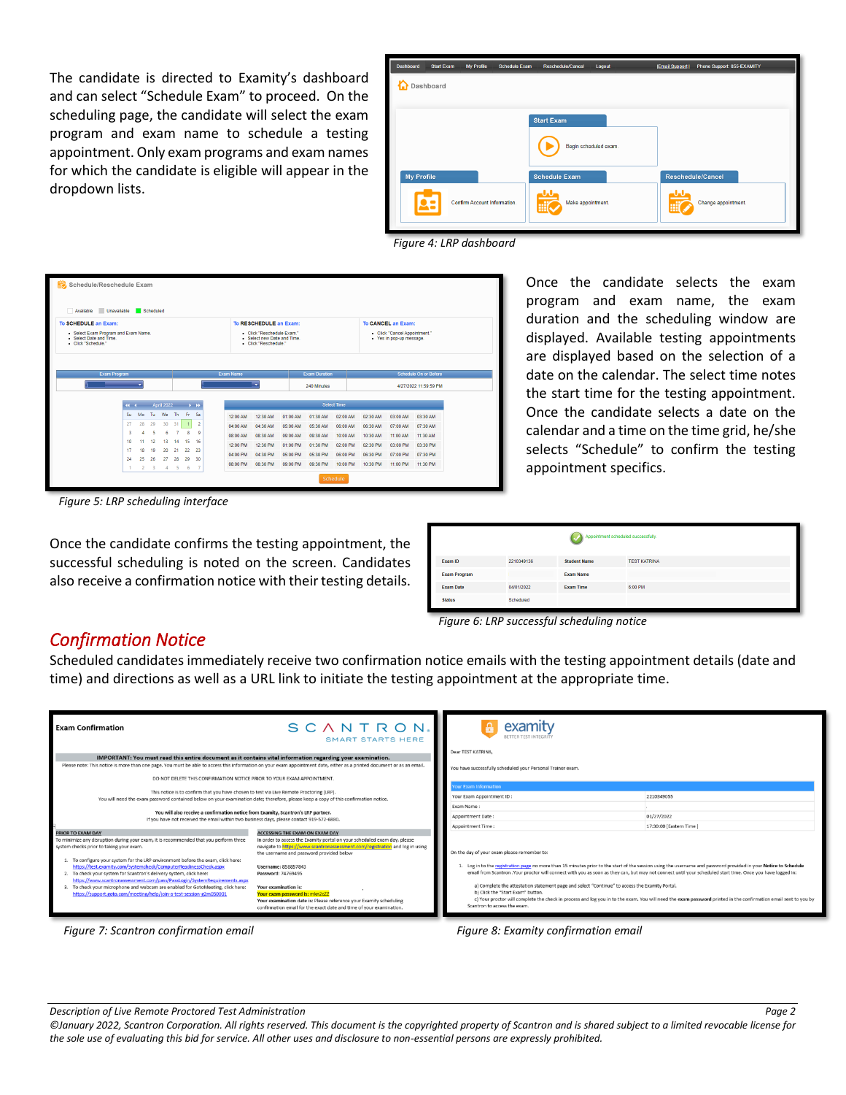The candidate is directed to Examity's dashboard and can select "Schedule Exam" to proceed. On the scheduling page, the candidate will select the exam program and exam name to schedule a testing appointment. Only exam programs and exam names for which the candidate is eligible will appear in the dropdown lists.



*Figure 4: LRP dashboard*

| Schedule/Reschedule Exam<br>Unavailable<br>Available<br>Scheduled<br>To SCHEDULE an Exam:<br>To CANCEL an Exam:<br>To RESCHEDULE an Exam: |                                      |                             |                                                      |                             |                                                                                                                                              |  |                                                                      |                                                                      |                                                                      |                                                                      |                                                                                            |                                                                      |                                                                      |                                                                      |
|-------------------------------------------------------------------------------------------------------------------------------------------|--------------------------------------|-----------------------------|------------------------------------------------------|-----------------------------|----------------------------------------------------------------------------------------------------------------------------------------------|--|----------------------------------------------------------------------|----------------------------------------------------------------------|----------------------------------------------------------------------|----------------------------------------------------------------------|--------------------------------------------------------------------------------------------|----------------------------------------------------------------------|----------------------------------------------------------------------|----------------------------------------------------------------------|
| · Select Exam Program and Exam Name.<br>Select Date and Time<br>- Click "Schedule."                                                       |                                      |                             |                                                      |                             | · Click "Reschedule Exam."<br>- Click "Cancel Appointment."<br>Select new Date and Time<br>· Yes in pop-up message.<br>· Click "Reschedule." |  |                                                                      |                                                                      |                                                                      |                                                                      |                                                                                            |                                                                      |                                                                      |                                                                      |
| Exam Program                                                                                                                              |                                      |                             |                                                      |                             |                                                                                                                                              |  | Exam Name                                                            | ٠                                                                    |                                                                      | <b>Exam Duration</b><br>240 Minutes                                  |                                                                                            |                                                                      |                                                                      | <b>Schedule On or Before</b><br>4/27/2022 11:59:59 PM                |
| Su.<br>27<br>3<br>10<br>17<br>24                                                                                                          | 44.4.1<br>Mo<br>28<br>11<br>18<br>25 | Tu.<br>29<br>12<br>19<br>26 | <b>April 2022</b><br>We<br>30<br>6<br>13<br>20<br>27 | Th.<br>31<br>14<br>21<br>28 | $-3 - 33$<br>Fr.<br>Sa<br>$\overline{2}$<br>9<br>8<br>15<br>16<br>22<br>23<br>29<br>30                                                       |  | 12:00 AM<br>04:00 AM<br>08:00 AM<br>12:00 PM<br>04:00 PM<br>08:00 PM | 12:30 AM<br>04:30 AM<br>08:30 AM<br>12:30 PM<br>04:30 PM<br>08:30 PM | 01:00 AM<br>05:00 AM<br>09:00 AM<br>01:00 PM<br>05:00 PM<br>09:00 PM | 01:30 AM<br>05:30 AM<br>09:30 AM<br>01:30 PM<br>05:30 PM<br>09:30 PM | <b>Select Time</b><br>02:00 AM<br>06:00 AM<br>10:00 AM<br>02:00 PM<br>06:00 PM<br>10:00 PM | 02:30 AM<br>06:30 AM<br>10:30 AM<br>02:30 PM<br>06:30 PM<br>10:30 PM | 03:00 AM<br>07:00 AM<br>11:00 AM<br>03:00 PM<br>07:00 PM<br>11:00 PM | 03:30 AM<br>07:30 AM<br>11:30 AM<br>03:30 PM<br>07:30 PM<br>11:30 PM |

Once the candidate selects the exam program and exam name, the exam duration and the scheduling window are displayed. Available testing appointments are displayed based on the selection of a date on the calendar. The select time notes the start time for the testing appointment. Once the candidate selects a date on the calendar and a time on the time grid, he/she selects "Schedule" to confirm the testing appointment specifics.

*Figure 5: LRP scheduling interface*

Once the candidate confirms the testing appointment, the successful scheduling is noted on the screen. Candidates also receive a confirmation notice with their testing details.

|                     |            | Appointment scheduled successfully. |                     |
|---------------------|------------|-------------------------------------|---------------------|
| Exam ID             | 2210349136 | <b>Student Name</b>                 | <b>TEST KATRINA</b> |
| <b>Exam Program</b> |            | <b>Exam Name</b>                    |                     |
| <b>Exam Date</b>    | 04/01/2022 | <b>Exam Time</b>                    | 6:00 PM             |
| <b>Status</b>       | Scheduled  |                                     |                     |

*Figure 6: LRP successful scheduling notice* 

#### *Confirmation Notice*

Scheduled candidates immediately receive two confirmation notice emails with the testing appointment details (date and time) and directions as well as a URL link to initiate the testing appointment at the appropriate time.

| <b>Exam Confirmation</b><br>IMPORTANT: You must read this entire document as it contains vital information regarding your examination.                                                                                                                                                                                                                                                                                                                                                                                                                                                                                       | SCANTRON.<br><b>SMART STARTS HERE</b>                                                                                                                                                                                                                                                                                                                                                                                                                                                             | examity<br>Dear TEST KATRINA                                                                                                                                                                                                                                                                                                                                                                                                                                                                                                                                                                                                                                                                                            |                          |  |  |
|------------------------------------------------------------------------------------------------------------------------------------------------------------------------------------------------------------------------------------------------------------------------------------------------------------------------------------------------------------------------------------------------------------------------------------------------------------------------------------------------------------------------------------------------------------------------------------------------------------------------------|---------------------------------------------------------------------------------------------------------------------------------------------------------------------------------------------------------------------------------------------------------------------------------------------------------------------------------------------------------------------------------------------------------------------------------------------------------------------------------------------------|-------------------------------------------------------------------------------------------------------------------------------------------------------------------------------------------------------------------------------------------------------------------------------------------------------------------------------------------------------------------------------------------------------------------------------------------------------------------------------------------------------------------------------------------------------------------------------------------------------------------------------------------------------------------------------------------------------------------------|--------------------------|--|--|
| Please note: This notice is more than one page. You must be able to access this information on your exam appointment date, either as a printed document or as an email.<br>DO NOT DELETE THIS CONFIRMATION NOTICE PRIOR TO YOUR EXAM APPOINTMENT.                                                                                                                                                                                                                                                                                                                                                                            |                                                                                                                                                                                                                                                                                                                                                                                                                                                                                                   | You have successfully scheduled your Personal Trainer exam.                                                                                                                                                                                                                                                                                                                                                                                                                                                                                                                                                                                                                                                             |                          |  |  |
| This notice is to confirm that you have chosen to test via Live Remote Proctoring (LRP).                                                                                                                                                                                                                                                                                                                                                                                                                                                                                                                                     |                                                                                                                                                                                                                                                                                                                                                                                                                                                                                                   | <b>Our Exam Information</b>                                                                                                                                                                                                                                                                                                                                                                                                                                                                                                                                                                                                                                                                                             |                          |  |  |
| You will need the exam password contained below on your examination date; therefore, please keep a copy of this confirmation notice.                                                                                                                                                                                                                                                                                                                                                                                                                                                                                         |                                                                                                                                                                                                                                                                                                                                                                                                                                                                                                   | Your Exam Appointment ID:                                                                                                                                                                                                                                                                                                                                                                                                                                                                                                                                                                                                                                                                                               | 2210349055               |  |  |
|                                                                                                                                                                                                                                                                                                                                                                                                                                                                                                                                                                                                                              |                                                                                                                                                                                                                                                                                                                                                                                                                                                                                                   | Exam Name:                                                                                                                                                                                                                                                                                                                                                                                                                                                                                                                                                                                                                                                                                                              |                          |  |  |
| You will also receive a confirmation notice from Examity, Scantron's LRP partner.<br>If you have not received the email within two business days, please contact 919-572-6880                                                                                                                                                                                                                                                                                                                                                                                                                                                |                                                                                                                                                                                                                                                                                                                                                                                                                                                                                                   | Appointment Date:                                                                                                                                                                                                                                                                                                                                                                                                                                                                                                                                                                                                                                                                                                       | 01/27/2022               |  |  |
|                                                                                                                                                                                                                                                                                                                                                                                                                                                                                                                                                                                                                              |                                                                                                                                                                                                                                                                                                                                                                                                                                                                                                   | Appointment Time:                                                                                                                                                                                                                                                                                                                                                                                                                                                                                                                                                                                                                                                                                                       | 17:30:00 [Eastern Time ] |  |  |
| PRIOR TO EXAM DAY<br>To minimize any disruption during your exam, it is recommended that you perform three<br>system checks prior to taking your exam.<br>1. To configure your system for the LRP environment before the exam, click here:<br>https://test.examity.com/systemcheck/ComputerReadinessCheck.aspx<br>2. To check your system for Scantron's delivery system, click here:<br>https://www.scantronassessment.com/pass/PassLogin/SystemRequirements.aspx<br>3. To check your microphone and webcam are enabled for GotoMeeting, click here:<br>https://support.goto.com/meeting/help/join-a-test-session-g2m050001 | <b>ACCESSING THE EXAM ON EXAM DAY</b><br>In order to access the Examity portal on your scheduled exam day, please<br>navigate to https://www.scantronassessment.com/registration and log in using<br>the username and password provided below<br>Username: 858857843<br>Password: 74769495<br>Your examination is:<br>Your exam password is: mkn2c22<br>Your examination date is: Please reference your Examity scheduling<br>confirmation email for the exact date and time of your examination. | On the day of your exam please remember to:<br>1. Log in to the registration page no more than 15 minutes prior to the start of the session using the username and password provided in your Notice to Schedule<br>email from Scantron .Your proctor will connect with you as soon as they can, but may not connect until your scheduled start time. Once you have logged in:<br>a) Complete the attestation statement page and select "Continue" to access the Examity Portal.<br>b) Click the "Start Exam" button.<br>c) Your proctor will complete the check in process and log you in to the exam. You will need the exam password printed in the confirmation email sent to you by<br>Scantron to access the exam. |                          |  |  |



*Description of Live Remote Proctored Test Administration Page 2*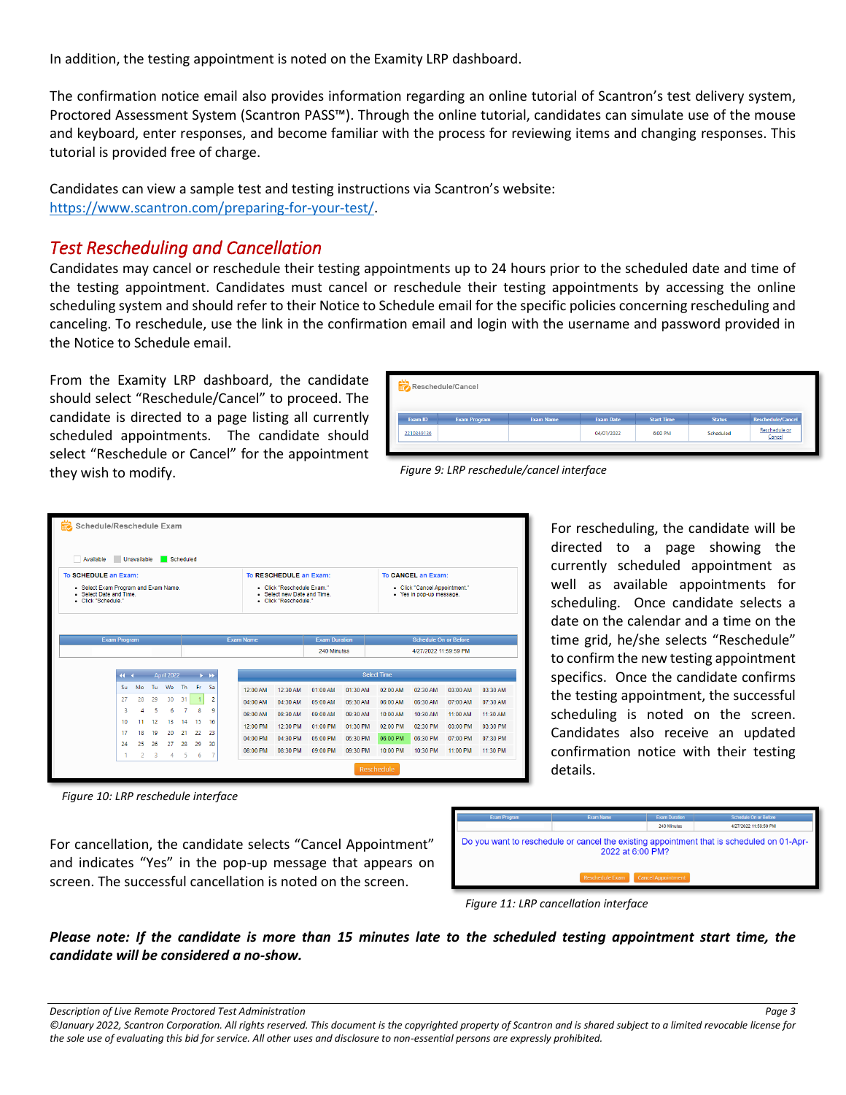In addition, the testing appointment is noted on the Examity LRP dashboard.

The confirmation notice email also provides information regarding an online tutorial of Scantron's test delivery system, Proctored Assessment System (Scantron PASS™). Through the online tutorial, candidates can simulate use of the mouse and keyboard, enter responses, and become familiar with the process for reviewing items and changing responses. This tutorial is provided free of charge.

Candidates can view a sample test and testing instructions via Scantron's website: [https://www.scantron.com/preparing-for-your-test/.](https://www.scantron.com/preparing-for-your-test/)

## *Test Rescheduling and Cancellation*

Candidates may cancel or reschedule their testing appointments up to 24 hours prior to the scheduled date and time of the testing appointment. Candidates must cancel or reschedule their testing appointments by accessing the online scheduling system and should refer to their Notice to Schedule email for the specific policies concerning rescheduling and canceling. To reschedule, use the link in the confirmation email and login with the username and password provided in the Notice to Schedule email.

From the Examity LRP dashboard, the candidate should select "Reschedule/Cancel" to proceed. The candidate is directed to a page listing all currently scheduled appointments. The candidate should select "Reschedule or Cancel" for the appointment they wish to modify.

|            | Reschedule/Cancel   |                  |                  |                   |               |                          |
|------------|---------------------|------------------|------------------|-------------------|---------------|--------------------------|
|            |                     |                  |                  |                   |               |                          |
| Exam ID    | <b>Exam Program</b> | <b>Exam Name</b> | <b>Exam Date</b> | <b>Start Time</b> | <b>Status</b> | <b>Reschedule/Cancel</b> |
| 2210349136 |                     |                  | 04/01/2022       | 6:00 PM           | Scheduled     | Reschedule or<br>Cancel  |



| Schedule/Reschedule Exam                                                                                     |                                         |              |          |                   |           |                             |          |          |                                                                                                            |                                     |          |                    |                                                                                 |          |          |
|--------------------------------------------------------------------------------------------------------------|-----------------------------------------|--------------|----------|-------------------|-----------|-----------------------------|----------|----------|------------------------------------------------------------------------------------------------------------|-------------------------------------|----------|--------------------|---------------------------------------------------------------------------------|----------|----------|
| Available                                                                                                    | Unavailable                             |              |          |                   | Scheduled |                             |          |          |                                                                                                            |                                     |          |                    |                                                                                 |          |          |
| To SCHEDULE an Exam:<br>• Select Exam Program and Exam Name.<br>Select Date and Time.<br>· Click "Schedule." |                                         |              |          |                   |           |                             |          |          | To RESCHEDULE an Exam:<br>- Click "Reschedule Exam."<br>Select new Date and Time.<br>- Click "Reschedule." |                                     |          |                    | To CANCEL an Exam:<br>- Click "Cancel Appointment."<br>· Yes in pop-up message. |          |          |
|                                                                                                              | <b>Exam Program</b><br><b>Exam Name</b> |              |          |                   |           |                             |          |          |                                                                                                            | <b>Exam Duration</b><br>240 Minutes |          |                    | <b>Schedule On or Before</b><br>4/27/2022 11:59:59 PM                           |          |          |
|                                                                                                              | $44 - 4$                                |              |          | <b>April 2022</b> |           | $\rightarrow$ $\rightarrow$ |          |          |                                                                                                            |                                     |          | <b>Select Time</b> |                                                                                 |          |          |
|                                                                                                              | Su                                      | Mo           | Tu       | We                | <b>Th</b> | Fr.                         | Sa       | 12:00 AM | 12:30 AM                                                                                                   | 01:00 AM                            | 01:30 AM | 02:00 AM           | 02:30 AM                                                                        | 03:00 AM | 03:30 AM |
|                                                                                                              | 27                                      | 28           | 29       | 30                | 31        |                             | 2        | 04:00 AM | 04:30 AM                                                                                                   | 05:00 AM                            | 05:30 AM | 06:00 AM           | 06:30 AM                                                                        | 07:00 AM | 07:30 AM |
|                                                                                                              | 3                                       |              | 5        | 6                 | 7         | 8                           | ٩        | 08:00 AM | 08:30 AM                                                                                                   | 09:00 AM                            | 09:30 AM | 10:00 AM           | 10:30 AM                                                                        | 11:00 AM | 11:30 AM |
|                                                                                                              | 10<br>17                                | 11           | 12<br>19 | 13<br>20          | 14<br>21  | 15<br>22                    | 16       | 12:00 PM | 12:30 PM                                                                                                   | 01:00 PM                            | 01:30 PM | 02:00 PM           | 02:30 PM                                                                        | 03:00 PM | 03:30 PM |
|                                                                                                              | 24                                      | 18<br>25     | 26       | 27                | 28        | 29                          | 23<br>30 | 04:00 PM | 04:30 PM                                                                                                   | 05:00 PM                            | 05:30 PM | 06:00 PM           | 06:30 PM                                                                        | 07:00 PM | 07:30 PM |
|                                                                                                              | 1                                       | $\mathbf{2}$ | -3       | 4                 | -5        | 6                           | -7       | 08:00 PM | 08:30 PM                                                                                                   | 09:00 PM                            | 09:30 PM | 10:00 PM           | 10:30 PM                                                                        | 11:00 PM | 11:30 PM |
|                                                                                                              |                                         |              |          |                   |           |                             |          |          |                                                                                                            |                                     |          | Reschedule         |                                                                                 |          |          |

For rescheduling, the candidate will be directed to a page showing the currently scheduled appointment as well as available appointments for scheduling. Once candidate selects a date on the calendar and a time on the time grid, he/she selects "Reschedule" to confirm the new testing appointment specifics. Once the candidate confirms the testing appointment, the successful scheduling is noted on the screen. Candidates also receive an updated confirmation notice with their testing details.



For cancellation, the candidate selects "Cancel Appointment" and indicates "Yes" in the pop-up message that appears on screen. The successful cancellation is noted on the screen.



*Figure 11: LRP cancellation interface*

*Please note: If the candidate is more than 15 minutes late to the scheduled testing appointment start time, the candidate will be considered a no-show.*

*Description of Live Remote Proctored Test Administration Page 3*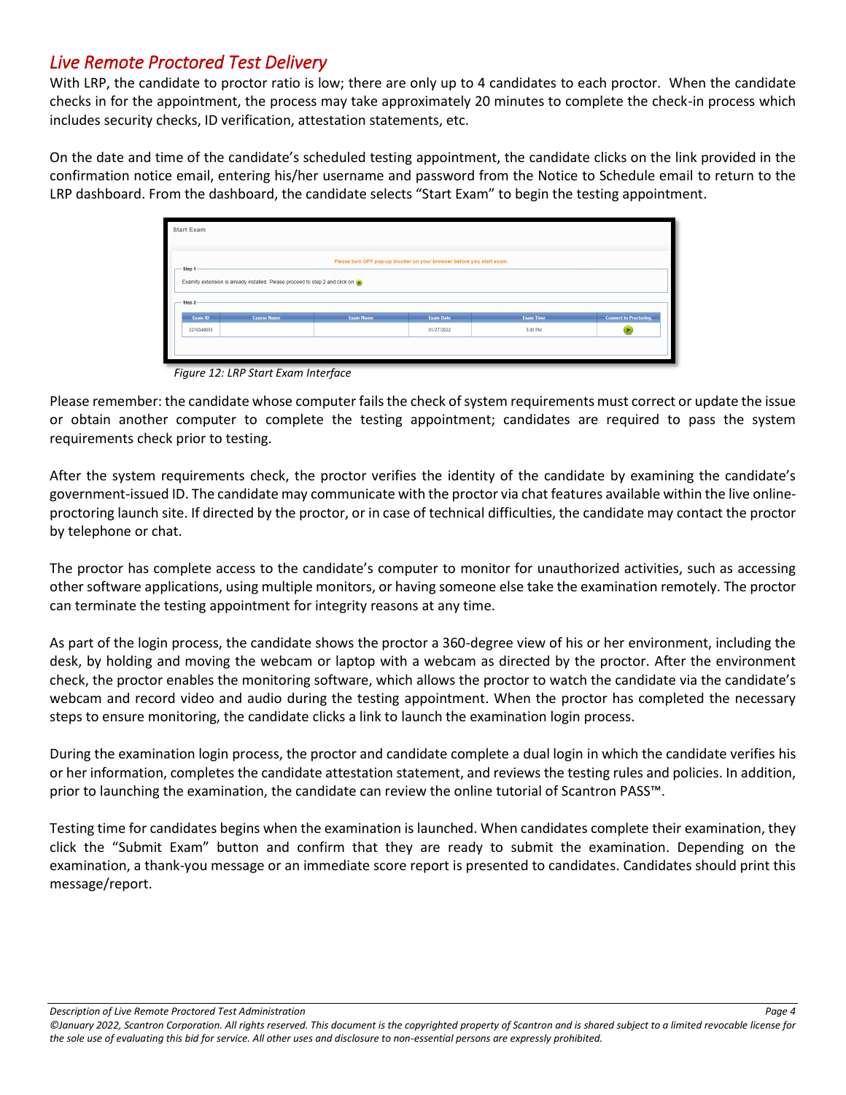## *Live Remote Proctored Test Delivery*

With LRP, the candidate to proctor ratio is low; there are only up to 4 candidates to each proctor. When the candidate checks in for the appointment, the process may take approximately 20 minutes to complete the check-in process which includes security checks, ID verification, attestation statements, etc.

On the date and time of the candidate's scheduled testing appointment, the candidate clicks on the link provided in the confirmation notice email, entering his/her username and password from the Notice to Schedule email to return to the LRP dashboard. From the dashboard, the candidate selects "Start Exam" to begin the testing appointment.

| <b>Start Exam</b> |                                                                                   |                    |                                                                       |                  |                  |                              |  |  |  |  |  |
|-------------------|-----------------------------------------------------------------------------------|--------------------|-----------------------------------------------------------------------|------------------|------------------|------------------------------|--|--|--|--|--|
| Step 1-           |                                                                                   |                    | Please turn OFF pop-up blocker on your browser before you start exam. |                  |                  |                              |  |  |  |  |  |
|                   | Examity extension is already installed. Please proceed to step 2 and click on (>) |                    |                                                                       |                  |                  |                              |  |  |  |  |  |
| Step 2-           |                                                                                   |                    |                                                                       |                  |                  |                              |  |  |  |  |  |
|                   | Exam ID                                                                           | <b>Course Name</b> | <b>Exam Name</b>                                                      | <b>Exam Date</b> | <b>Exam Time</b> | <b>Connect to Proctoring</b> |  |  |  |  |  |
|                   | 5:30 PM<br>2210349055<br>01/27/2022                                               |                    |                                                                       |                  |                  |                              |  |  |  |  |  |
|                   |                                                                                   |                    |                                                                       |                  |                  |                              |  |  |  |  |  |
|                   |                                                                                   |                    |                                                                       |                  |                  |                              |  |  |  |  |  |

*Figure 12: LRP Start Exam Interface*

Please remember: the candidate whose computer fails the check of system requirements must correct or update the issue or obtain another computer to complete the testing appointment; candidates are required to pass the system requirements check prior to testing.

After the system requirements check, the proctor verifies the identity of the candidate by examining the candidate's government-issued ID. The candidate may communicate with the proctor via chat features available within the live onlineproctoring launch site. If directed by the proctor, or in case of technical difficulties, the candidate may contact the proctor by telephone or chat.

The proctor has complete access to the candidate's computer to monitor for unauthorized activities, such as accessing other software applications, using multiple monitors, or having someone else take the examination remotely. The proctor can terminate the testing appointment for integrity reasons at any time.

As part of the login process, the candidate shows the proctor a 360-degree view of his or her environment, including the desk, by holding and moving the webcam or laptop with a webcam as directed by the proctor. After the environment check, the proctor enables the monitoring software, which allows the proctor to watch the candidate via the candidate's webcam and record video and audio during the testing appointment. When the proctor has completed the necessary steps to ensure monitoring, the candidate clicks a link to launch the examination login process.

During the examination login process, the proctor and candidate complete a dual login in which the candidate verifies his or her information, completes the candidate attestation statement, and reviews the testing rules and policies. In addition, prior to launching the examination, the candidate can review the online tutorial of Scantron PASS™.

Testing time for candidates begins when the examination is launched. When candidates complete their examination, they click the "Submit Exam" button and confirm that they are ready to submit the examination. Depending on the examination, a thank-you message or an immediate score report is presented to candidates. Candidates should print this message/report.

*Description of Live Remote Proctored Test Administration Page 4*